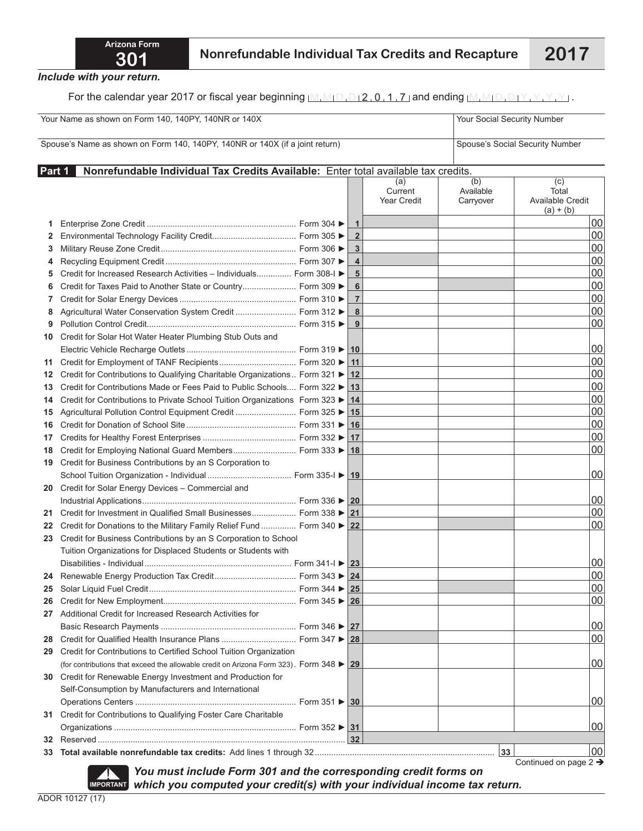*Include with your return.*

For the calendar year 2017 or fiscal year beginning  $M_1M_1D_1D_12_10_11_17$  and ending  $M_1M_1D_1D_1Y_1Y_1Y_1Y_1$ .

| Your Name as shown on Form 140, 140PY, 140NR or 140X                         |                                                                                                        |  |                |                               | Your Social Security Number   |                                                 |  |  |  |
|------------------------------------------------------------------------------|--------------------------------------------------------------------------------------------------------|--|----------------|-------------------------------|-------------------------------|-------------------------------------------------|--|--|--|
| Spouse's Name as shown on Form 140, 140PY, 140NR or 140X (if a joint return) |                                                                                                        |  |                |                               |                               | Spouse's Social Security Number                 |  |  |  |
| Part 1                                                                       | Nonrefundable Individual Tax Credits Available: Enter total available tax credits.                     |  |                |                               |                               |                                                 |  |  |  |
|                                                                              |                                                                                                        |  |                | (a)<br>Current<br>Year Credit | (b)<br>Available<br>Carryover | (c)<br>Total<br>Available Credit<br>$(a) + (b)$ |  |  |  |
| 1                                                                            |                                                                                                        |  | $\mathbf 1$    |                               |                               | 00                                              |  |  |  |
| 2                                                                            |                                                                                                        |  | $\overline{2}$ |                               |                               | 00                                              |  |  |  |
| 3                                                                            |                                                                                                        |  | 3              |                               |                               | 00                                              |  |  |  |
| 4                                                                            |                                                                                                        |  | 4              |                               |                               | 00                                              |  |  |  |
| 5                                                                            | Credit for Increased Research Activities - Individuals Form 308-I ▶                                    |  | 5              |                               |                               | 00                                              |  |  |  |
| 6                                                                            | Credit for Taxes Paid to Another State or Country Form 309 ▶                                           |  | 6              |                               |                               | 00                                              |  |  |  |
| 7                                                                            |                                                                                                        |  | $\overline{7}$ |                               |                               | 00                                              |  |  |  |
| 8                                                                            | Agricultural Water Conservation System Credit  Form 312 ▶                                              |  | 8              |                               |                               | 00                                              |  |  |  |
| 9                                                                            |                                                                                                        |  | 9              |                               |                               | 00                                              |  |  |  |
| 10                                                                           | Credit for Solar Hot Water Heater Plumbing Stub Outs and                                               |  |                |                               |                               |                                                 |  |  |  |
|                                                                              |                                                                                                        |  |                |                               |                               | 00                                              |  |  |  |
| 11                                                                           |                                                                                                        |  | 11             |                               |                               | 00                                              |  |  |  |
| 12                                                                           | Credit for Contributions to Qualifying Charitable Organizations Form 321 ▶ 12                          |  |                |                               |                               | 00                                              |  |  |  |
| 13                                                                           | Credit for Contributions Made or Fees Paid to Public Schools Form 322 ▶ 13                             |  |                |                               |                               | 00                                              |  |  |  |
| 14                                                                           | Credit for Contributions to Private School Tuition Organizations Form 323 ▶ 14                         |  |                |                               |                               | 00                                              |  |  |  |
| 15                                                                           | Agricultural Pollution Control Equipment Credit  Form 325 ▶ 15                                         |  |                |                               |                               | 00                                              |  |  |  |
| 16                                                                           |                                                                                                        |  | 16             |                               |                               | 00                                              |  |  |  |
| 17                                                                           |                                                                                                        |  |                |                               |                               | 00                                              |  |  |  |
| 18                                                                           | Credit for Employing National Guard Members Form 333 ▶ 18                                              |  |                |                               |                               | 00                                              |  |  |  |
| 19                                                                           | Credit for Business Contributions by an S Corporation to                                               |  |                |                               |                               |                                                 |  |  |  |
|                                                                              |                                                                                                        |  |                |                               |                               | 00                                              |  |  |  |
| 20                                                                           | Credit for Solar Energy Devices - Commercial and                                                       |  |                |                               |                               |                                                 |  |  |  |
|                                                                              |                                                                                                        |  |                |                               |                               | 00                                              |  |  |  |
| 21                                                                           | Credit for Investment in Qualified Small Businesses Form 338 ▶ 21                                      |  |                |                               |                               | 00                                              |  |  |  |
| 22                                                                           | Credit for Donations to the Military Family Relief Fund  Form 340 ▶ 22                                 |  |                |                               |                               | 00                                              |  |  |  |
| 23                                                                           | Credit for Business Contributions by an S Corporation to School                                        |  |                |                               |                               |                                                 |  |  |  |
|                                                                              | Tuition Organizations for Displaced Students or Students with                                          |  |                |                               |                               |                                                 |  |  |  |
|                                                                              |                                                                                                        |  |                |                               |                               | 00                                              |  |  |  |
|                                                                              |                                                                                                        |  |                |                               |                               | 00                                              |  |  |  |
| 25                                                                           |                                                                                                        |  |                |                               |                               | 00                                              |  |  |  |
| 26                                                                           |                                                                                                        |  |                |                               |                               | 00                                              |  |  |  |
| 27                                                                           | Additional Credit for Increased Research Activities for                                                |  |                |                               |                               |                                                 |  |  |  |
|                                                                              |                                                                                                        |  |                |                               |                               | 00                                              |  |  |  |
| 28                                                                           |                                                                                                        |  |                |                               |                               | 00                                              |  |  |  |
| 29                                                                           | Credit for Contributions to Certified School Tuition Organization                                      |  |                |                               |                               |                                                 |  |  |  |
|                                                                              | (for contributions that exceed the allowable credit on Arizona Form 323). Form $348 \triangleright 29$ |  |                |                               |                               | 00                                              |  |  |  |
| 30                                                                           | Credit for Renewable Energy Investment and Production for                                              |  |                |                               |                               |                                                 |  |  |  |
|                                                                              | Self-Consumption by Manufacturers and International                                                    |  |                |                               |                               |                                                 |  |  |  |
|                                                                              |                                                                                                        |  |                |                               |                               | 00                                              |  |  |  |
| 31                                                                           | Credit for Contributions to Qualifying Foster Care Charitable                                          |  |                |                               |                               |                                                 |  |  |  |
|                                                                              |                                                                                                        |  |                |                               |                               | 00                                              |  |  |  |
| 32                                                                           |                                                                                                        |  | 32             |                               |                               |                                                 |  |  |  |
| 33                                                                           |                                                                                                        |  |                |                               | 33                            | 00<br>Continued on page 2 $\rightarrow$         |  |  |  |

*You must include Form 301 and the corresponding credit forms on*  **IMPORTANT** *You must include Form 301 and the corresponding credit forms on*<br>IMPORTANT which you computed your credit(s) with your individual income tax return.